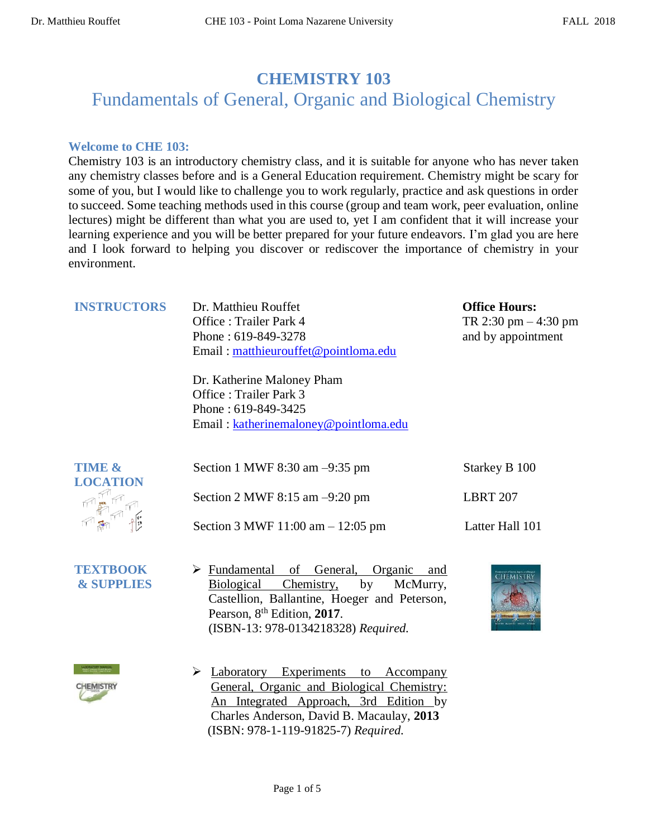## **CHEMISTRY 103**

# Fundamentals of General, Organic and Biological Chemistry

#### **Welcome to CHE 103:**

Chemistry 103 is an introductory chemistry class, and it is suitable for anyone who has never taken any chemistry classes before and is a General Education requirement. Chemistry might be scary for some of you, but I would like to challenge you to work regularly, practice and ask questions in order to succeed. Some teaching methods used in this course (group and team work, peer evaluation, online lectures) might be different than what you are used to, yet I am confident that it will increase your learning experience and you will be better prepared for your future endeavors. I'm glad you are here and I look forward to helping you discover or rediscover the importance of chemistry in your environment.

| <b>INSTRUCTORS</b>                   | Dr. Matthieu Rouffet<br>Office: Trailer Park 4<br>Phone: 619-849-3278<br>Email: matthieurouffet@pointloma.edu        | <b>Office Hours:</b><br>TR 2:30 pm $-4:30$ pm<br>and by appointment |
|--------------------------------------|----------------------------------------------------------------------------------------------------------------------|---------------------------------------------------------------------|
|                                      | Dr. Katherine Maloney Pham<br>Office: Trailer Park 3<br>Phone: 619-849-3425<br>Email: katherinemaloney@pointloma.edu |                                                                     |
| <b>TIME &amp;</b><br><b>LOCATION</b> | Section 1 MWF 8:30 am $-9:35$ pm<br>Section 2 MWF $8:15$ am $-9:20$ pm                                               | Starkey B 100<br><b>LBRT 207</b>                                    |
|                                      | Section 3 MWF $11:00 \text{ am} - 12:05 \text{ pm}$                                                                  | Latter Hall 101                                                     |

- $\frac{1}{2}$ **TEXTBOOK & SUPPLIES**
- ➢ Fundamental of General, Organic and Biological Chemistry, by McMurry, Castellion, Ballantine, Hoeger and Peterson, Pearson, 8 th Edition, **2017**. (ISBN-13: 978-0134218328) *Required.*
- **CHEMISTR**



➢ Laboratory Experiments to Accompany General, Organic and Biological Chemistry: An Integrated Approach, 3rd Edition by Charles Anderson, David B. Macaulay, **2013** (ISBN: 978-1-119-91825-7) *Required.*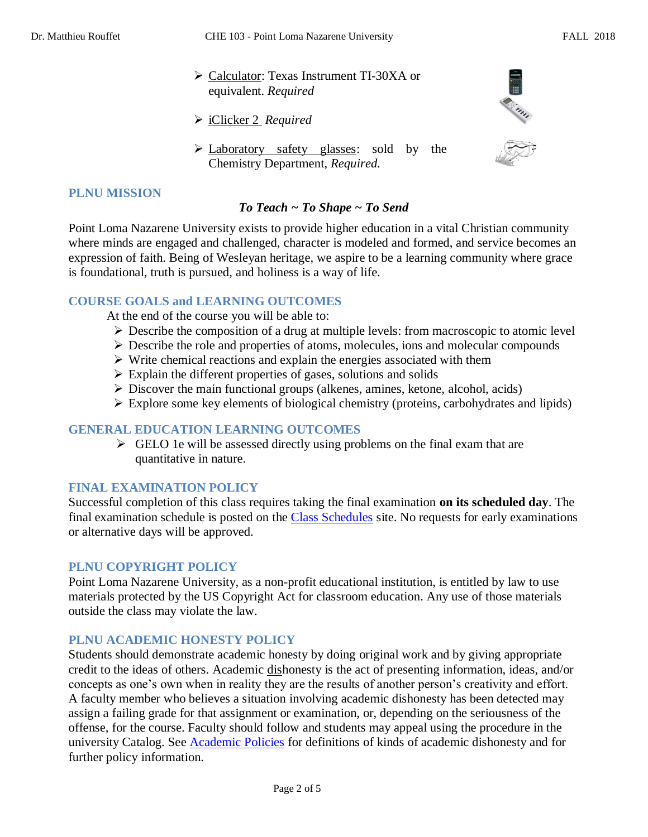- ➢ Calculator: Texas Instrument TI-30XA or equivalent. *Required*
- ➢ iClicker 2 *Required*
- ➢ Laboratory safety glasses: sold by the Chemistry Department, *Required.*



#### **PLNU MISSION**

### *To Teach ~ To Shape ~ To Send*

Point Loma Nazarene University exists to provide higher education in a vital Christian community where minds are engaged and challenged, character is modeled and formed, and service becomes an expression of faith. Being of Wesleyan heritage, we aspire to be a learning community where grace is foundational, truth is pursued, and holiness is a way of life.

#### **COURSE GOALS and LEARNING OUTCOMES**

At the end of the course you will be able to:

- ➢ Describe the composition of a drug at multiple levels: from macroscopic to atomic level
- ➢ Describe the role and properties of atoms, molecules, ions and molecular compounds
- ➢ Write chemical reactions and explain the energies associated with them
- $\triangleright$  Explain the different properties of gases, solutions and solids
- $\triangleright$  Discover the main functional groups (alkenes, amines, ketone, alcohol, acids)
- ➢ Explore some key elements of biological chemistry (proteins, carbohydrates and lipids)

#### **GENERAL EDUCATION LEARNING OUTCOMES**

 $\triangleright$  GELO 1e will be assessed directly using problems on the final exam that are quantitative in nature.

#### **FINAL EXAMINATION POLICY**

Successful completion of this class requires taking the final examination **on its scheduled day**. The final examination schedule is posted on the [Class Schedules](http://www.pointloma.edu/experience/academics/class-schedules) site. No requests for early examinations or alternative days will be approved.

#### **PLNU COPYRIGHT POLICY**

Point Loma Nazarene University, as a non-profit educational institution, is entitled by law to use materials protected by the US Copyright Act for classroom education. Any use of those materials outside the class may violate the law.

#### **PLNU ACADEMIC HONESTY POLICY**

Students should demonstrate academic honesty by doing original work and by giving appropriate credit to the ideas of others. Academic dishonesty is the act of presenting information, ideas, and/or concepts as one's own when in reality they are the results of another person's creativity and effort. A faculty member who believes a situation involving academic dishonesty has been detected may assign a failing grade for that assignment or examination, or, depending on the seriousness of the offense, for the course. Faculty should follow and students may appeal using the procedure in the university Catalog. See **Academic Policies** for definitions of kinds of academic dishonesty and for further policy information.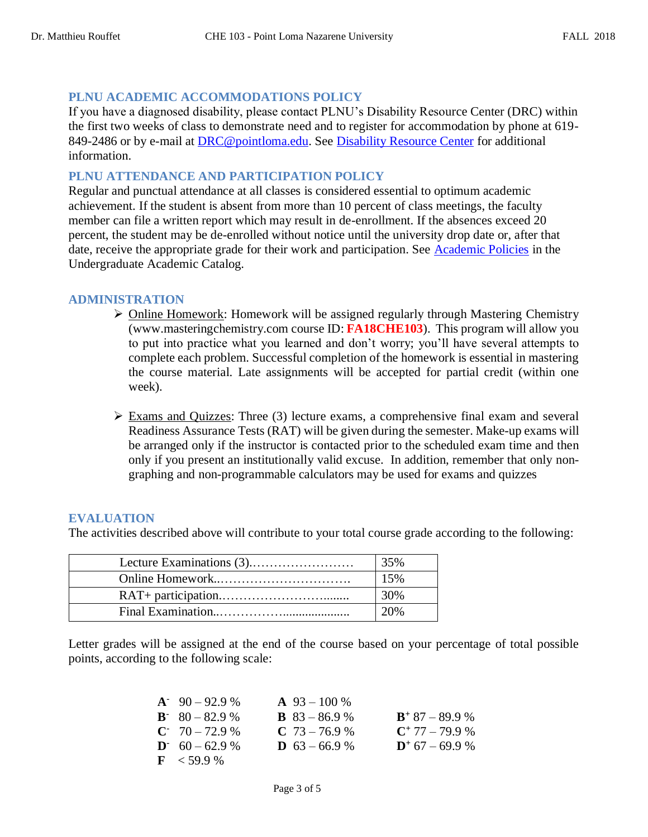#### **PLNU ACADEMIC ACCOMMODATIONS POLICY**

If you have a diagnosed disability, please contact PLNU's Disability Resource Center (DRC) within the first two weeks of class to demonstrate need and to register for accommodation by phone at 619- 849-2486 or by e-mail at [DRC@pointloma.edu.](mailto:DRC@pointloma.edu) See [Disability Resource Center](http://www.pointloma.edu/experience/offices/administrative-offices/academic-advising-office/disability-resource-center) for additional information.

#### **PLNU ATTENDANCE AND PARTICIPATION POLICY**

Regular and punctual attendance at all classes is considered essential to optimum academic achievement. If the student is absent from more than 10 percent of class meetings, the faculty member can file a written report which may result in de-enrollment. If the absences exceed 20 percent, the student may be de-enrolled without notice until the university drop date or, after that date, receive the appropriate grade for their work and participation. See [Academic Policies](http://catalog.pointloma.edu/content.php?catoid=18&navoid=1278) in the Undergraduate Academic Catalog.

#### **ADMINISTRATION**

- ➢ Online Homework: Homework will be assigned regularly through Mastering Chemistry (www.masteringchemistry.com course ID: **FA18CHE103**). This program will allow you to put into practice what you learned and don't worry; you'll have several attempts to complete each problem. Successful completion of the homework is essential in mastering the course material. Late assignments will be accepted for partial credit (within one week).
- $\triangleright$  Exams and Quizzes: Three (3) lecture exams, a comprehensive final exam and several Readiness Assurance Tests (RAT) will be given during the semester. Make-up exams will be arranged only if the instructor is contacted prior to the scheduled exam time and then only if you present an institutionally valid excuse. In addition, remember that only nongraphing and non-programmable calculators may be used for exams and quizzes

#### **EVALUATION**

The activities described above will contribute to your total course grade according to the following:

| 35%    |
|--------|
| 15%    |
| 30%    |
| $-20%$ |

Letter grades will be assigned at the end of the course based on your percentage of total possible points, according to the following scale:

| $A^2$ 90 – 92.9 %     | $\mathbf{A}$ 93 – 100 % |                   |
|-----------------------|-------------------------|-------------------|
| $B - 80 - 82.9 %$     | <b>B</b> $83 - 86.9$ %  | $B^+$ 87 - 89.9 % |
| $C^2$ 70 – 72.9 %     | $C$ 73 – 76.9 %         | $C^+$ 77 – 79.9 % |
| $D = 60 - 62.9$ %     | <b>D</b> $63 - 66.9$ %  | $D^+$ 67 – 69.9 % |
| $\mathbf{F}$ < 59.9 % |                         |                   |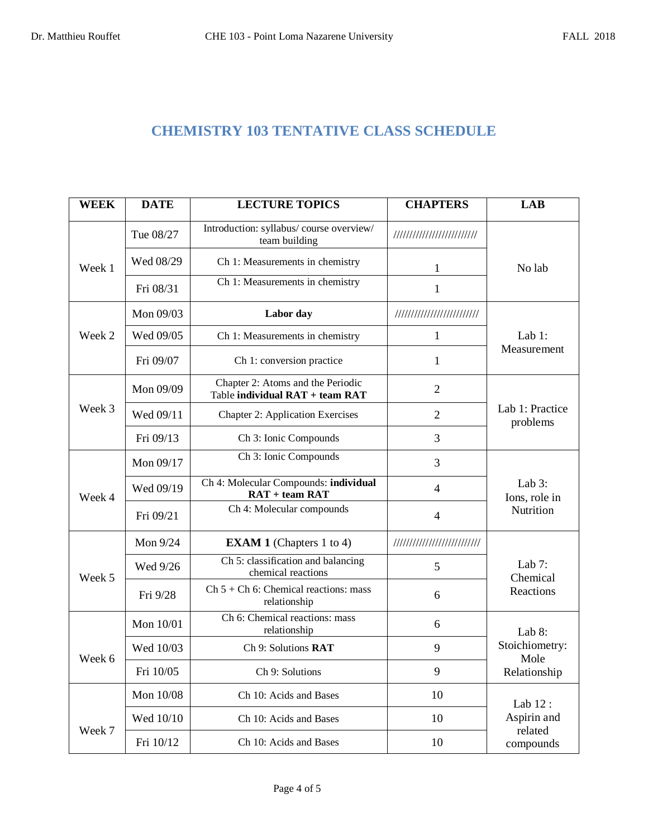### **CHEMISTRY 103 TENTATIVE CLASS SCHEDULE**

| <b>WEEK</b> | <b>DATE</b> | <b>LECTURE TOPICS</b>                                                | <b>CHAPTERS</b>             | <b>LAB</b>                              |
|-------------|-------------|----------------------------------------------------------------------|-----------------------------|-----------------------------------------|
|             | Tue 08/27   | Introduction: syllabus/ course overview/<br>team building            | //////////////////////////  |                                         |
| Week 1      | Wed 08/29   | Ch 1: Measurements in chemistry                                      | 1                           | No lab                                  |
|             | Fri 08/31   | Ch 1: Measurements in chemistry                                      | $\mathbf{1}$                |                                         |
|             | Mon 09/03   | Labor day                                                            | //////////////////////////  |                                         |
| Week 2      | Wed 09/05   | Ch 1: Measurements in chemistry                                      | $\mathbf{1}$                | Lab $1$ :                               |
|             | Fri 09/07   | Ch 1: conversion practice                                            | $\mathbf{1}$                | Measurement                             |
|             | Mon 09/09   | Chapter 2: Atoms and the Periodic<br>Table individual RAT + team RAT | $\overline{2}$              |                                         |
| Week 3      | Wed 09/11   | <b>Chapter 2: Application Exercises</b>                              | $\overline{2}$              | Lab 1: Practice<br>problems             |
|             | Fri 09/13   | Ch 3: Ionic Compounds                                                | 3                           |                                         |
|             | Mon 09/17   | Ch 3: Ionic Compounds                                                | 3                           |                                         |
| Week 4      | Wed 09/19   | Ch 4: Molecular Compounds: individual<br>$RAT + team RAT$            | $\overline{4}$              | Lab $3$ :<br>Ions, role in<br>Nutrition |
|             | Fri 09/21   | Ch 4: Molecular compounds                                            | $\overline{4}$              |                                         |
|             | Mon 9/24    | <b>EXAM 1</b> (Chapters 1 to 4)                                      | /////////////////////////// |                                         |
| Week 5      | Wed 9/26    | Ch 5: classification and balancing<br>chemical reactions             | 5                           | Lab $7:$<br>Chemical<br>Reactions       |
|             | Fri 9/28    | $Ch 5 + Ch 6$ : Chemical reactions: mass<br>relationship             | 6                           |                                         |
|             | Mon 10/01   | Ch 6: Chemical reactions: mass<br>relationship                       | 6                           | Lab $8$ :                               |
| Week 6      | Wed 10/03   | Ch 9: Solutions RAT                                                  | 9                           | Stoichiometry:<br>Mole                  |
|             | Fri 10/05   | Ch 9: Solutions                                                      | 9                           | Relationship                            |
|             | Mon 10/08   | Ch 10: Acids and Bases                                               | 10                          | Lab 12:                                 |
| Week 7      | Wed 10/10   | Ch 10: Acids and Bases                                               | 10                          | Aspirin and<br>related                  |
|             | Fri 10/12   | Ch 10: Acids and Bases                                               | 10                          | compounds                               |